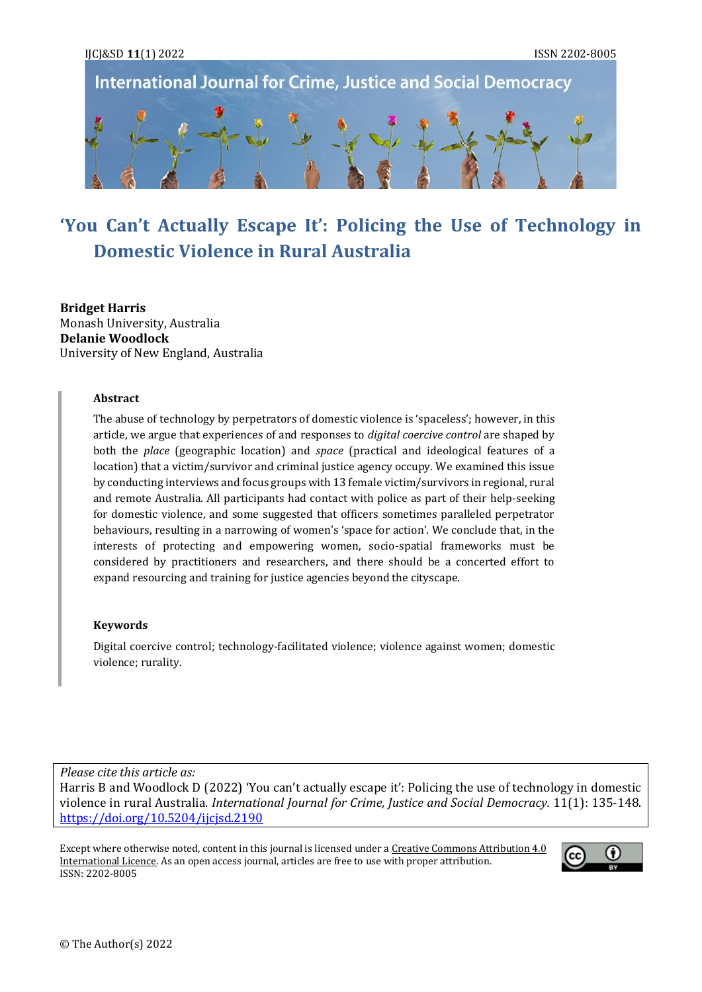

# **'You Can't Actually Escape It': Policing the Use of Technology in Domestic Violence in Rural Australia**

**Bridget Harris** Monash University, Australia **Delanie Woodlock**  University of New England, Australia

#### **Abstract**

The abuse of technology by perpetrators of domestic violence is 'spaceless'; however, in this article, we argue that experiences of and responses to *digital coercive control* are shaped by both the *place* (geographic location) and *space* (practical and ideological features of a location) that a victim/survivor and criminal justice agency occupy. We examined this issue by conducting interviews and focus groups with 13 female victim/survivors in regional, rural and remote Australia. All participants had contact with police as part of their help-seeking for domestic violence, and some suggested that officers sometimes paralleled perpetrator behaviours, resulting in a narrowing of women's 'space for action'. We conclude that, in the interests of protecting and empowering women, socio-spatial frameworks must be considered by practitioners and researchers, and there should be a concerted effort to expand resourcing and training for justice agencies beyond the cityscape.

#### **Keywords**

Digital coercive control; technology-facilitated violence; violence against women; domestic violence; rurality.

*Please cite this article as:*

Harris B and Woodlock D (2022) 'You can't actually escape it': Policing the use of technology in domestic violence in rural Australia. *International Journal for Crime, Justice and Social Democracy.* 11(1): 135-148. <https://doi.org/10.5204/ijcjsd.2190>

Except where otherwise noted, content in this journal is licensed under [a Creative Commons Attribution 4.0](https://creativecommons.org/licenses/by/4.0/)  [International Licence.](https://creativecommons.org/licenses/by/4.0/) As an open access journal, articles are free to use with proper attribution. ISSN: 2202-8005

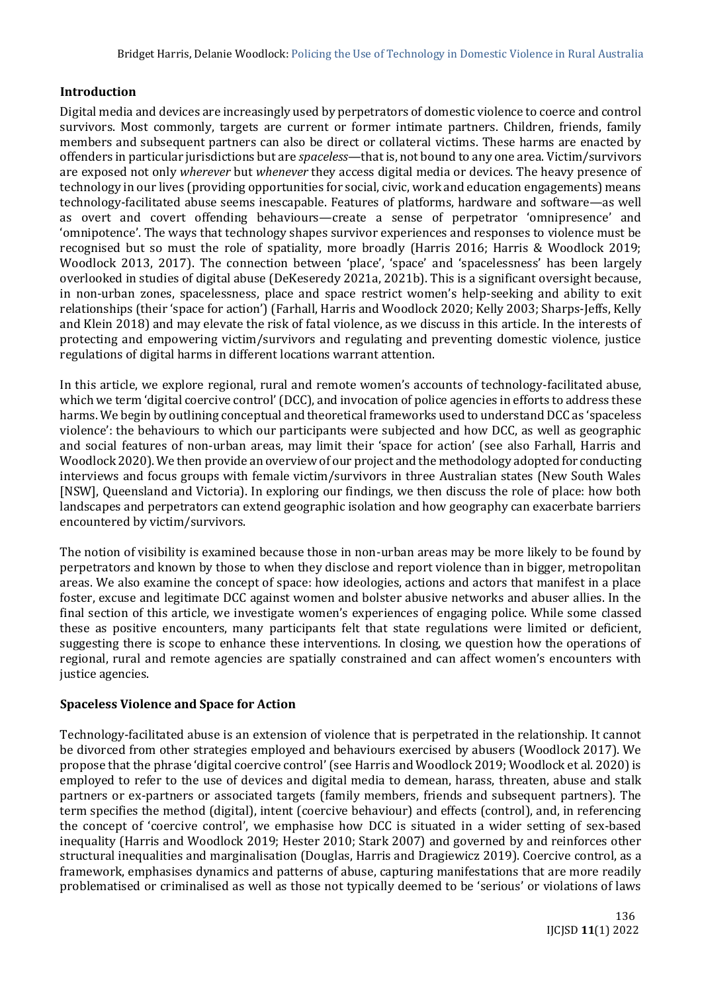## **Introduction**

Digital media and devices are increasingly used by perpetrators of domestic violence to coerce and control survivors. Most commonly, targets are current or former intimate partners. Children, friends, family members and subsequent partners can also be direct or collateral victims. These harms are enacted by offenders in particular jurisdictions but are *spaceless*—that is, not bound to any one area. Victim/survivors are exposed not only *wherever* but *whenever* they access digital media or devices. The heavy presence of technology in our lives (providing opportunities for social, civic, work and education engagements) means technology-facilitated abuse seems inescapable. Features of platforms, hardware and software—as well as overt and covert offending behaviours—create a sense of perpetrator 'omnipresence' and 'omnipotence'. The ways that technology shapes survivor experiences and responses to violence must be recognised but so must the role of spatiality, more broadly (Harris 2016; Harris & Woodlock 2019; Woodlock 2013, 2017). The connection between 'place', 'space' and 'spacelessness' has been largely overlooked in studies of digital abuse (DeKeseredy 2021a, 2021b). This is a significant oversight because, in non-urban zones, spacelessness, place and space restrict women's help-seeking and ability to exit relationships (their 'space for action') (Farhall, Harris and Woodlock 2020; Kelly 2003; Sharps-Jeffs, Kelly and Klein 2018) and may elevate the risk of fatal violence, as we discuss in this article. In the interests of protecting and empowering victim/survivors and regulating and preventing domestic violence, justice regulations of digital harms in different locations warrant attention.

In this article, we explore regional, rural and remote women's accounts of technology-facilitated abuse, which we term 'digital coercive control' (DCC), and invocation of police agencies in efforts to address these harms. We begin by outlining conceptual and theoretical frameworks used to understand DCC as 'spaceless violence': the behaviours to which our participants were subjected and how DCC, as well as geographic and social features of non-urban areas, may limit their 'space for action' (see also Farhall, Harris and Woodlock 2020). We then provide an overview of our project and the methodology adopted for conducting interviews and focus groups with female victim/survivors in three Australian states (New South Wales [NSW], Queensland and Victoria). In exploring our findings, we then discuss the role of place: how both landscapes and perpetrators can extend geographic isolation and how geography can exacerbate barriers encountered by victim/survivors.

The notion of visibility is examined because those in non-urban areas may be more likely to be found by perpetrators and known by those to when they disclose and report violence than in bigger, metropolitan areas. We also examine the concept of space: how ideologies, actions and actors that manifest in a place foster, excuse and legitimate DCC against women and bolster abusive networks and abuser allies. In the final section of this article, we investigate women's experiences of engaging police. While some classed these as positive encounters, many participants felt that state regulations were limited or deficient, suggesting there is scope to enhance these interventions. In closing, we question how the operations of regional, rural and remote agencies are spatially constrained and can affect women's encounters with justice agencies.

## **Spaceless Violence and Space for Action**

Technology-facilitated abuse is an extension of violence that is perpetrated in the relationship. It cannot be divorced from other strategies employed and behaviours exercised by abusers (Woodlock 2017). We propose that the phrase 'digital coercive control' (see Harris and Woodlock 2019; Woodlock et al. 2020) is employed to refer to the use of devices and digital media to demean, harass, threaten, abuse and stalk partners or ex-partners or associated targets (family members, friends and subsequent partners). The term specifies the method (digital), intent (coercive behaviour) and effects (control), and, in referencing the concept of 'coercive control', we emphasise how DCC is situated in a wider setting of sex-based inequality (Harris and Woodlock 2019; Hester 2010; Stark 2007) and governed by and reinforces other structural inequalities and marginalisation (Douglas, Harris and Dragiewicz 2019). Coercive control, as a framework, emphasises dynamics and patterns of abuse, capturing manifestations that are more readily problematised or criminalised as well as those not typically deemed to be 'serious' or violations of laws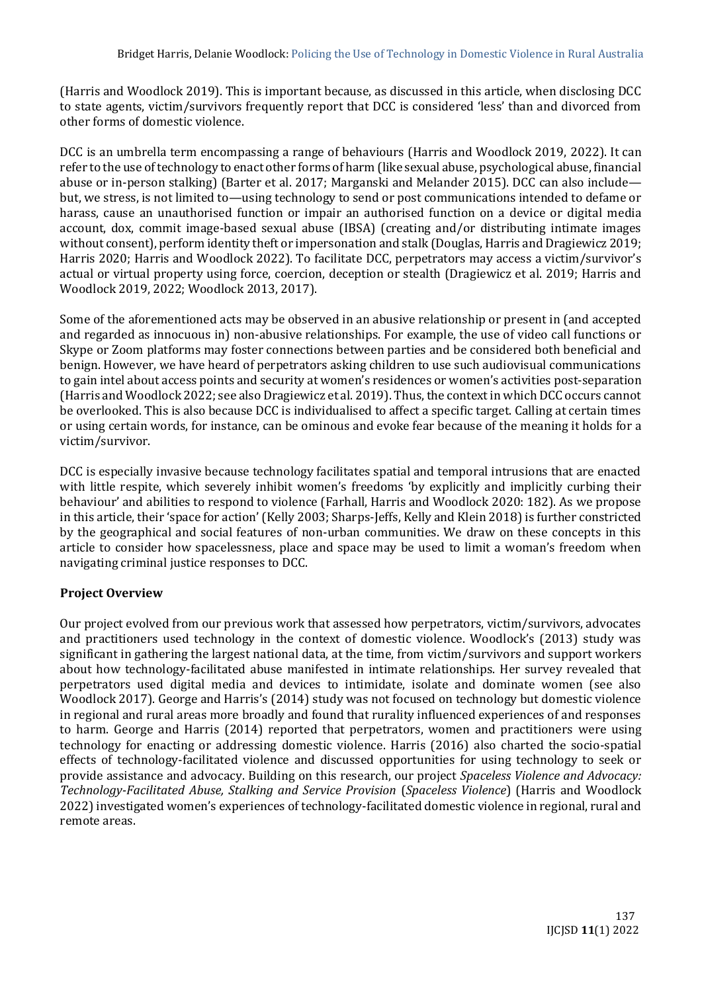(Harris and Woodlock 2019). This is important because, as discussed in this article, when disclosing DCC to state agents, victim/survivors frequently report that DCC is considered 'less' than and divorced from other forms of domestic violence.

DCC is an umbrella term encompassing a range of behaviours (Harris and Woodlock 2019, 2022). It can refer to the use of technology to enact other forms of harm (like sexual abuse, psychological abuse, financial abuse or in-person stalking) (Barter et al. 2017; Marganski and Melander 2015). DCC can also include but, we stress, is not limited to—using technology to send or post communications intended to defame or harass, cause an unauthorised function or impair an authorised function on a device or digital media account, dox, commit image-based sexual abuse (IBSA) (creating and/or distributing intimate images without consent), perform identity theft or impersonation and stalk (Douglas, Harris and Dragiewicz 2019; Harris 2020; Harris and Woodlock 2022). To facilitate DCC, perpetrators may access a victim/survivor's actual or virtual property using force, coercion, deception or stealth (Dragiewicz et al. 2019; Harris and Woodlock 2019, 2022; Woodlock 2013, 2017).

Some of the aforementioned acts may be observed in an abusive relationship or present in (and accepted and regarded as innocuous in) non-abusive relationships. For example, the use of video call functions or Skype or Zoom platforms may foster connections between parties and be considered both beneficial and benign. However, we have heard of perpetrators asking children to use such audiovisual communications to gain intel about access points and security at women's residences or women's activities post-separation (Harris and Woodlock 2022; see also Dragiewicz et al. 2019). Thus, the context in which DCC occurs cannot be overlooked. This is also because DCC is individualised to affect a specific target. Calling at certain times or using certain words, for instance, can be ominous and evoke fear because of the meaning it holds for a victim/survivor.

DCC is especially invasive because technology facilitates spatial and temporal intrusions that are enacted with little respite, which severely inhibit women's freedoms 'by explicitly and implicitly curbing their behaviour' and abilities to respond to violence (Farhall, Harris and Woodlock 2020: 182). As we propose in this article, their 'space for action' (Kelly 2003; Sharps-Jeffs, Kelly and Klein 2018) is further constricted by the geographical and social features of non-urban communities. We draw on these concepts in this article to consider how spacelessness, place and space may be used to limit a woman's freedom when navigating criminal justice responses to DCC.

# **Project Overview**

Our project evolved from our previous work that assessed how perpetrators, victim/survivors, advocates and practitioners used technology in the context of domestic violence. Woodlock's (2013) study was significant in gathering the largest national data, at the time, from victim/survivors and support workers about how technology-facilitated abuse manifested in intimate relationships. Her survey revealed that perpetrators used digital media and devices to intimidate, isolate and dominate women (see also Woodlock 2017). George and Harris's (2014) study was not focused on technology but domestic violence in regional and rural areas more broadly and found that rurality influenced experiences of and responses to harm. George and Harris (2014) reported that perpetrators, women and practitioners were using technology for enacting or addressing domestic violence. Harris (2016) also charted the socio-spatial effects of technology-facilitated violence and discussed opportunities for using technology to seek or provide assistance and advocacy. Building on this research, our project *Spaceless Violence and Advocacy: Technology-Facilitated Abuse, Stalking and Service Provision* (*Spaceless Violence*) (Harris and Woodlock 2022) investigated women's experiences of technology-facilitated domestic violence in regional, rural and remote areas.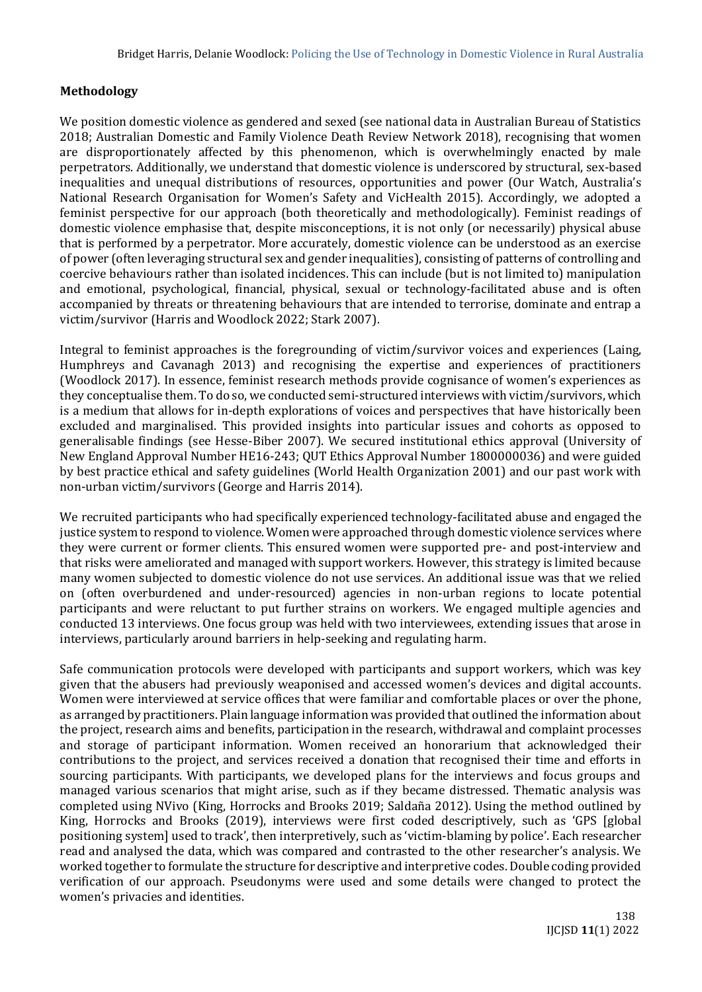# **Methodology**

We position domestic violence as gendered and sexed (see national data in Australian Bureau of Statistics 2018; Australian Domestic and Family Violence Death Review Network 2018), recognising that women are disproportionately affected by this phenomenon, which is overwhelmingly enacted by male perpetrators. Additionally, we understand that domestic violence is underscored by structural, sex-based inequalities and unequal distributions of resources, opportunities and power (Our Watch, Australia's National Research Organisation for Women's Safety and VicHealth 2015). Accordingly, we adopted a feminist perspective for our approach (both theoretically and methodologically). Feminist readings of domestic violence emphasise that, despite misconceptions, it is not only (or necessarily) physical abuse that is performed by a perpetrator. More accurately, domestic violence can be understood as an exercise of power (often leveraging structural sex and gender inequalities), consisting of patterns of controlling and coercive behaviours rather than isolated incidences. This can include (but is not limited to) manipulation and emotional, psychological, financial, physical, sexual or technology-facilitated abuse and is often accompanied by threats or threatening behaviours that are intended to terrorise, dominate and entrap a victim/survivor (Harris and Woodlock 2022; Stark 2007).

Integral to feminist approaches is the foregrounding of victim/survivor voices and experiences (Laing, Humphreys and Cavanagh 2013) and recognising the expertise and experiences of practitioners (Woodlock 2017). In essence, feminist research methods provide cognisance of women's experiences as they conceptualise them. To do so, we conducted semi-structured interviews with victim/survivors, which is a medium that allows for in-depth explorations of voices and perspectives that have historically been excluded and marginalised. This provided insights into particular issues and cohorts as opposed to generalisable findings (see Hesse-Biber 2007). We secured institutional ethics approval (University of New England Approval Number HE16-243; QUT Ethics Approval Number 1800000036) and were guided by best practice ethical and safety guidelines (World Health Organization 2001) and our past work with non-urban victim/survivors (George and Harris 2014).

We recruited participants who had specifically experienced technology-facilitated abuse and engaged the justice system to respond to violence. Women were approached through domestic violence services where they were current or former clients. This ensured women were supported pre- and post-interview and that risks were ameliorated and managed with support workers. However, this strategy is limited because many women subjected to domestic violence do not use services. An additional issue was that we relied on (often overburdened and under-resourced) agencies in non-urban regions to locate potential participants and were reluctant to put further strains on workers. We engaged multiple agencies and conducted 13 interviews. One focus group was held with two interviewees, extending issues that arose in interviews, particularly around barriers in help-seeking and regulating harm.

Safe communication protocols were developed with participants and support workers, which was key given that the abusers had previously weaponised and accessed women's devices and digital accounts. Women were interviewed at service offices that were familiar and comfortable places or over the phone, as arranged by practitioners. Plain language information was provided that outlined the information about the project, research aims and benefits, participation in the research, withdrawal and complaint processes and storage of participant information. Women received an honorarium that acknowledged their contributions to the project, and services received a donation that recognised their time and efforts in sourcing participants. With participants, we developed plans for the interviews and focus groups and managed various scenarios that might arise, such as if they became distressed. Thematic analysis was completed using NVivo (King, Horrocks and Brooks 2019; Saldaña 2012). Using the method outlined by King, Horrocks and Brooks (2019), interviews were first coded descriptively, such as 'GPS [global positioning system] used to track', then interpretively, such as 'victim-blaming by police'. Each researcher read and analysed the data, which was compared and contrasted to the other researcher's analysis. We worked together to formulate the structure for descriptive and interpretive codes. Double coding provided verification of our approach. Pseudonyms were used and some details were changed to protect the women's privacies and identities.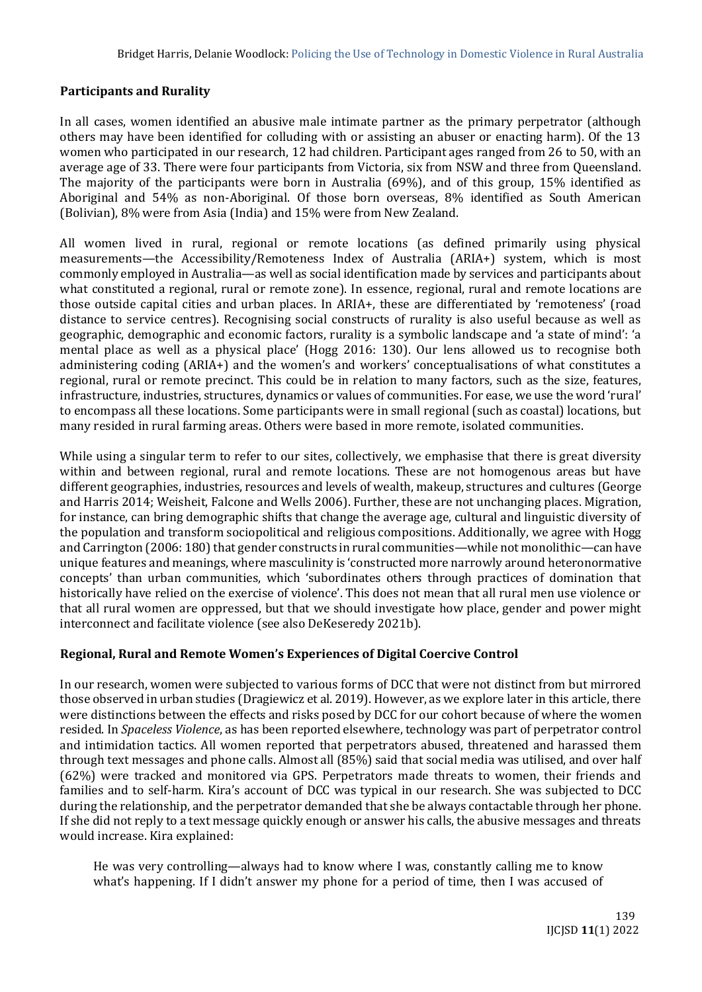## **Participants and Rurality**

In all cases, women identified an abusive male intimate partner as the primary perpetrator (although others may have been identified for colluding with or assisting an abuser or enacting harm). Of the 13 women who participated in our research, 12 had children. Participant ages ranged from 26 to 50, with an average age of 33. There were four participants from Victoria, six from NSW and three from Queensland. The majority of the participants were born in Australia (69%), and of this group, 15% identified as Aboriginal and 54% as non-Aboriginal. Of those born overseas, 8% identified as South American (Bolivian), 8% were from Asia (India) and 15% were from New Zealand.

All women lived in rural, regional or remote locations (as defined primarily using physical measurements—the Accessibility/Remoteness Index of Australia (ARIA+) system, which is most commonly employed in Australia—as well as social identification made by services and participants about what constituted a regional, rural or remote zone). In essence, regional, rural and remote locations are those outside capital cities and urban places. In ARIA+, these are differentiated by 'remoteness' (road distance to service centres). Recognising social constructs of rurality is also useful because as well as geographic, demographic and economic factors, rurality is a symbolic landscape and 'a state of mind': 'a mental place as well as a physical place' (Hogg 2016: 130). Our lens allowed us to recognise both administering coding (ARIA+) and the women's and workers' conceptualisations of what constitutes a regional, rural or remote precinct. This could be in relation to many factors, such as the size, features, infrastructure, industries, structures, dynamics or values of communities. For ease, we use the word 'rural' to encompass all these locations. Some participants were in small regional (such as coastal) locations, but many resided in rural farming areas. Others were based in more remote, isolated communities.

While using a singular term to refer to our sites, collectively, we emphasise that there is great diversity within and between regional, rural and remote locations. These are not homogenous areas but have different geographies, industries, resources and levels of wealth, makeup, structures and cultures (George and Harris 2014; Weisheit, Falcone and Wells 2006). Further, these are not unchanging places. Migration, for instance, can bring demographic shifts that change the average age, cultural and linguistic diversity of the population and transform sociopolitical and religious compositions. Additionally, we agree with Hogg and Carrington (2006: 180) that gender constructs in rural communities—while not monolithic—can have unique features and meanings, where masculinity is 'constructed more narrowly around heteronormative concepts' than urban communities, which 'subordinates others through practices of domination that historically have relied on the exercise of violence'. This does not mean that all rural men use violence or that all rural women are oppressed, but that we should investigate how place, gender and power might interconnect and facilitate violence (see also DeKeseredy 2021b).

## **Regional, Rural and Remote Women's Experiences of Digital Coercive Control**

In our research, women were subjected to various forms of DCC that were not distinct from but mirrored those observed in urban studies (Dragiewicz et al. 2019). However, as we explore later in this article, there were distinctions between the effects and risks posed by DCC for our cohort because of where the women resided. In *Spaceless Violence*, as has been reported elsewhere, technology was part of perpetrator control and intimidation tactics. All women reported that perpetrators abused, threatened and harassed them through text messages and phone calls. Almost all (85%) said that social media was utilised, and over half (62%) were tracked and monitored via GPS. Perpetrators made threats to women, their friends and families and to self-harm. Kira's account of DCC was typical in our research. She was subjected to DCC during the relationship, and the perpetrator demanded that she be always contactable through her phone. If she did not reply to a text message quickly enough or answer his calls, the abusive messages and threats would increase. Kira explained:

He was very controlling—always had to know where I was, constantly calling me to know what's happening. If I didn't answer my phone for a period of time, then I was accused of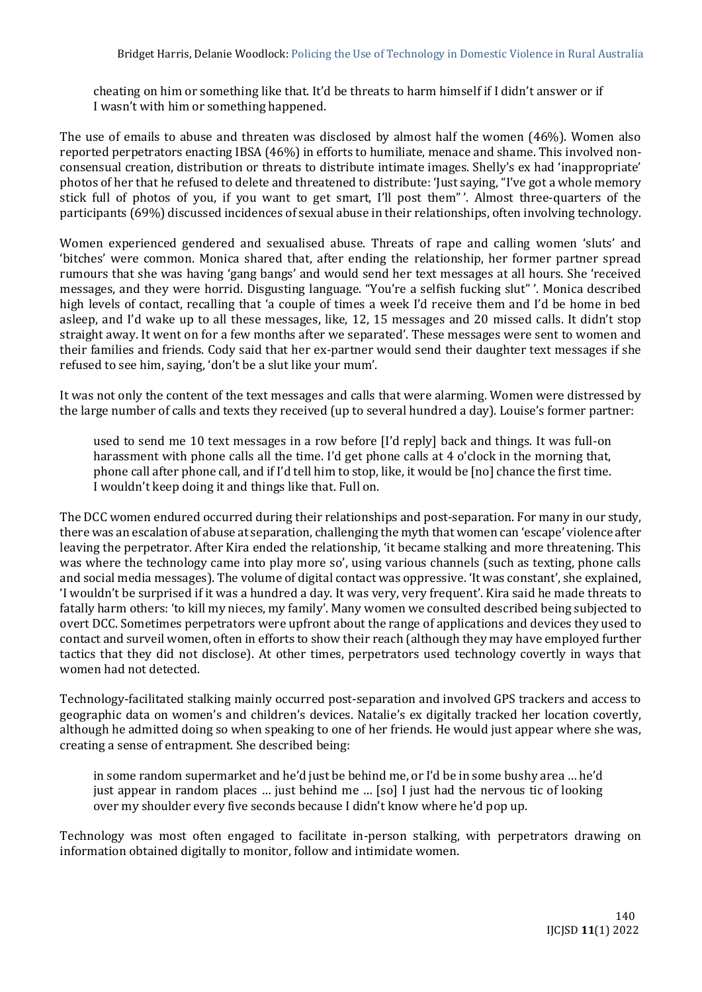cheating on him or something like that. It'd be threats to harm himself if I didn't answer or if I wasn't with him or something happened.

The use of emails to abuse and threaten was disclosed by almost half the women (46%). Women also reported perpetrators enacting IBSA (46%) in efforts to humiliate, menace and shame. This involved nonconsensual creation, distribution or threats to distribute intimate images. Shelly's ex had 'inappropriate' photos of her that he refused to delete and threatened to distribute: 'Just saying, "I've got a whole memory stick full of photos of you, if you want to get smart, I'll post them"'. Almost three-quarters of the participants (69%) discussed incidences of sexual abuse in their relationships, often involving technology.

Women experienced gendered and sexualised abuse. Threats of rape and calling women 'sluts' and 'bitches' were common. Monica shared that, after ending the relationship, her former partner spread rumours that she was having 'gang bangs' and would send her text messages at all hours. She 'received messages, and they were horrid. Disgusting language. "You're a selfish fucking slut" '. Monica described high levels of contact, recalling that 'a couple of times a week I'd receive them and I'd be home in bed asleep, and I'd wake up to all these messages, like, 12, 15 messages and 20 missed calls. It didn't stop straight away. It went on for a few months after we separated'. These messages were sent to women and their families and friends. Cody said that her ex-partner would send their daughter text messages if she refused to see him, saying, 'don't be a slut like your mum'.

It was not only the content of the text messages and calls that were alarming. Women were distressed by the large number of calls and texts they received (up to several hundred a day). Louise's former partner:

used to send me 10 text messages in a row before [I'd reply] back and things. It was full-on harassment with phone calls all the time. I'd get phone calls at 4 o'clock in the morning that, phone call after phone call, and if I'd tell him to stop, like, it would be [no] chance the first time. I wouldn't keep doing it and things like that. Full on.

The DCC women endured occurred during their relationships and post-separation. For many in our study, there was an escalation of abuse at separation, challenging the myth that women can 'escape' violence after leaving the perpetrator. After Kira ended the relationship, 'it became stalking and more threatening. This was where the technology came into play more so', using various channels (such as texting, phone calls and social media messages). The volume of digital contact was oppressive. 'It was constant', she explained, 'I wouldn't be surprised if it was a hundred a day. It was very, very frequent'. Kira said he made threats to fatally harm others: 'to kill my nieces, my family'. Many women we consulted described being subjected to overt DCC. Sometimes perpetrators were upfront about the range of applications and devices they used to contact and surveil women, often in efforts to show their reach (although they may have employed further tactics that they did not disclose). At other times, perpetrators used technology covertly in ways that women had not detected.

Technology-facilitated stalking mainly occurred post-separation and involved GPS trackers and access to geographic data on women's and children's devices. Natalie's ex digitally tracked her location covertly, although he admitted doing so when speaking to one of her friends. He would just appear where she was, creating a sense of entrapment. She described being:

in some random supermarket and he'd just be behind me, or I'd be in some bushy area … he'd just appear in random places … just behind me … [so] I just had the nervous tic of looking over my shoulder every five seconds because I didn't know where he'd pop up.

Technology was most often engaged to facilitate in-person stalking, with perpetrators drawing on information obtained digitally to monitor, follow and intimidate women.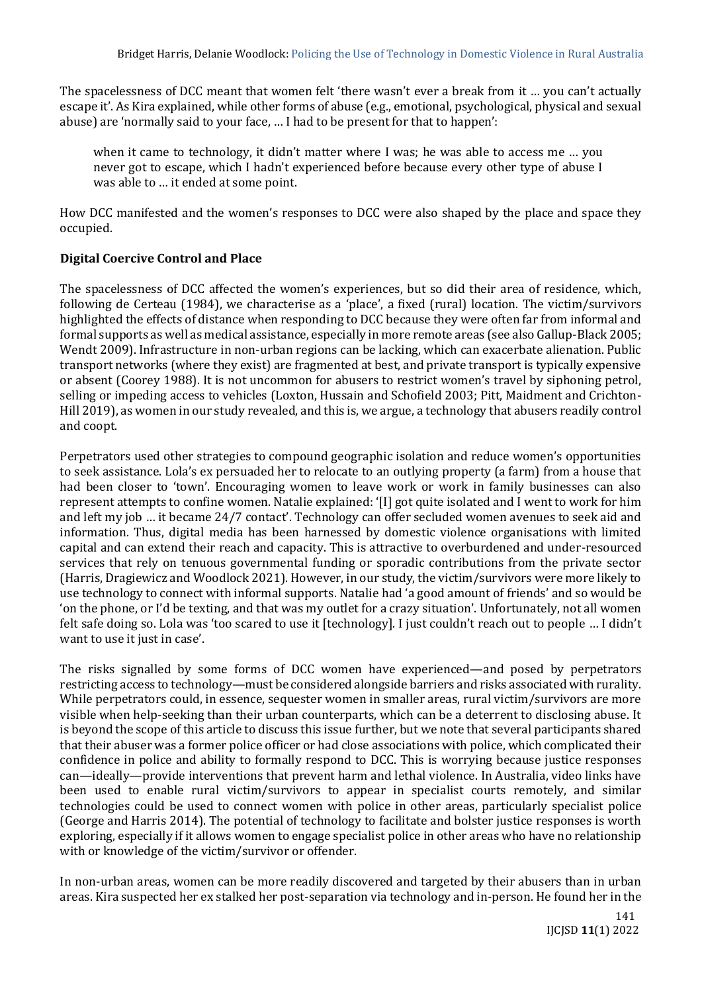The spacelessness of DCC meant that women felt 'there wasn't ever a break from it … you can't actually escape it'. As Kira explained, while other forms of abuse (e.g., emotional, psychological, physical and sexual abuse) are 'normally said to your face, … I had to be present for that to happen':

when it came to technology, it didn't matter where I was; he was able to access me … you never got to escape, which I hadn't experienced before because every other type of abuse I was able to … it ended at some point.

How DCC manifested and the women's responses to DCC were also shaped by the place and space they occupied.

# **Digital Coercive Control and Place**

The spacelessness of DCC affected the women's experiences, but so did their area of residence, which, following de Certeau (1984), we characterise as a 'place', a fixed (rural) location. The victim/survivors highlighted the effects of distance when responding to DCC because they were often far from informal and formal supports as well as medical assistance, especially in more remote areas (see also Gallup-Black 2005; Wendt 2009). Infrastructure in non-urban regions can be lacking, which can exacerbate alienation. Public transport networks (where they exist) are fragmented at best, and private transport is typically expensive or absent (Coorey 1988). It is not uncommon for abusers to restrict women's travel by siphoning petrol, selling or impeding access to vehicles (Loxton, Hussain and Schofield 2003; Pitt, Maidment and Crichton-Hill 2019), as women in our study revealed, and this is, we argue, a technology that abusers readily control and coopt.

Perpetrators used other strategies to compound geographic isolation and reduce women's opportunities to seek assistance. Lola's ex persuaded her to relocate to an outlying property (a farm) from a house that had been closer to 'town'. Encouraging women to leave work or work in family businesses can also represent attempts to confine women. Natalie explained: '[I] got quite isolated and I went to work for him and left my job … it became 24/7 contact'. Technology can offer secluded women avenues to seek aid and information. Thus, digital media has been harnessed by domestic violence organisations with limited capital and can extend their reach and capacity. This is attractive to overburdened and under-resourced services that rely on tenuous governmental funding or sporadic contributions from the private sector (Harris, Dragiewicz and Woodlock 2021). However, in our study, the victim/survivors were more likely to use technology to connect with informal supports. Natalie had 'a good amount of friends' and so would be 'on the phone, or I'd be texting, and that was my outlet for a crazy situation'. Unfortunately, not all women felt safe doing so. Lola was 'too scared to use it [technology]. I just couldn't reach out to people … I didn't want to use it just in case'.

The risks signalled by some forms of DCC women have experienced—and posed by perpetrators restricting access to technology—must be considered alongside barriers and risks associated with rurality. While perpetrators could, in essence, sequester women in smaller areas, rural victim/survivors are more visible when help-seeking than their urban counterparts, which can be a deterrent to disclosing abuse. It is beyond the scope of this article to discuss this issue further, but we note that several participants shared that their abuser was a former police officer or had close associations with police, which complicated their confidence in police and ability to formally respond to DCC. This is worrying because justice responses can—ideally—provide interventions that prevent harm and lethal violence. In Australia, video links have been used to enable rural victim/survivors to appear in specialist courts remotely, and similar technologies could be used to connect women with police in other areas, particularly specialist police (George and Harris 2014). The potential of technology to facilitate and bolster justice responses is worth exploring, especially if it allows women to engage specialist police in other areas who have no relationship with or knowledge of the victim/survivor or offender.

In non-urban areas, women can be more readily discovered and targeted by their abusers than in urban areas. Kira suspected her ex stalked her post-separation via technology and in-person. He found her in the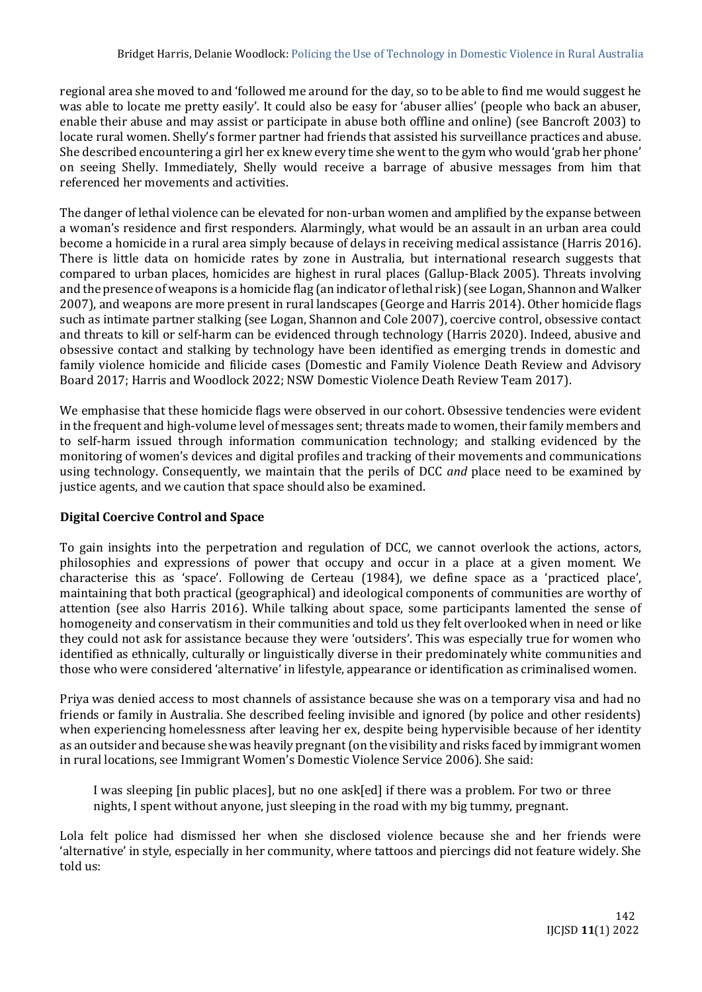regional area she moved to and 'followed me around for the day, so to be able to find me would suggest he was able to locate me pretty easily'. It could also be easy for 'abuser allies' (people who back an abuser, enable their abuse and may assist or participate in abuse both offline and online) (see Bancroft 2003) to locate rural women. Shelly's former partner had friends that assisted his surveillance practices and abuse. She described encountering a girl her ex knew every time she went to the gym who would 'grab her phone' on seeing Shelly. Immediately, Shelly would receive a barrage of abusive messages from him that referenced her movements and activities.

The danger of lethal violence can be elevated for non-urban women and amplified by the expanse between a woman's residence and first responders. Alarmingly, what would be an assault in an urban area could become a homicide in a rural area simply because of delays in receiving medical assistance (Harris 2016). There is little data on homicide rates by zone in Australia, but international research suggests that compared to urban places, homicides are highest in rural places (Gallup-Black 2005). Threats involving and the presence of weapons is a homicide flag (an indicator of lethal risk) (see Logan, Shannon and Walker 2007), and weapons are more present in rural landscapes (George and Harris 2014). Other homicide flags such as intimate partner stalking (see Logan, Shannon and Cole 2007), coercive control, obsessive contact and threats to kill or self-harm can be evidenced through technology (Harris 2020). Indeed, abusive and obsessive contact and stalking by technology have been identified as emerging trends in domestic and family violence homicide and filicide cases (Domestic and Family Violence Death Review and Advisory Board 2017; Harris and Woodlock 2022; NSW Domestic Violence Death Review Team 2017).

We emphasise that these homicide flags were observed in our cohort. Obsessive tendencies were evident in the frequent and high-volume level of messages sent; threats made to women, their family members and to self-harm issued through information communication technology; and stalking evidenced by the monitoring of women's devices and digital profiles and tracking of their movements and communications using technology. Consequently, we maintain that the perils of DCC *and* place need to be examined by justice agents, and we caution that space should also be examined.

## **Digital Coercive Control and Space**

To gain insights into the perpetration and regulation of DCC, we cannot overlook the actions, actors, philosophies and expressions of power that occupy and occur in a place at a given moment. We characterise this as 'space'. Following de Certeau (1984), we define space as a 'practiced place', maintaining that both practical (geographical) and ideological components of communities are worthy of attention (see also Harris 2016). While talking about space, some participants lamented the sense of homogeneity and conservatism in their communities and told us they felt overlooked when in need or like they could not ask for assistance because they were 'outsiders'. This was especially true for women who identified as ethnically, culturally or linguistically diverse in their predominately white communities and those who were considered 'alternative' in lifestyle, appearance or identification as criminalised women.

Priya was denied access to most channels of assistance because she was on a temporary visa and had no friends or family in Australia. She described feeling invisible and ignored (by police and other residents) when experiencing homelessness after leaving her ex, despite being hypervisible because of her identity as an outsider and because she was heavily pregnant (on the visibility and risks faced by immigrant women in rural locations, see Immigrant Women's Domestic Violence Service 2006). She said:

I was sleeping [in public places], but no one ask[ed] if there was a problem. For two or three nights, I spent without anyone, just sleeping in the road with my big tummy, pregnant.

Lola felt police had dismissed her when she disclosed violence because she and her friends were 'alternative' in style, especially in her community, where tattoos and piercings did not feature widely. She told us: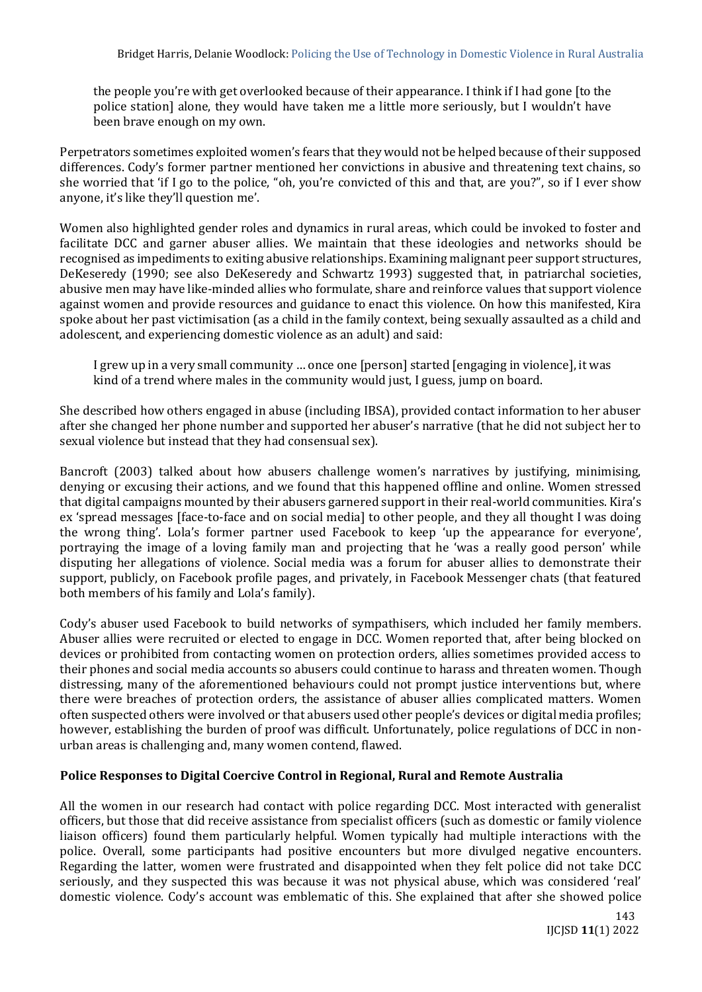the people you're with get overlooked because of their appearance. I think if I had gone [to the police station] alone, they would have taken me a little more seriously, but I wouldn't have been brave enough on my own.

Perpetrators sometimes exploited women's fears that they would not be helped because of their supposed differences. Cody's former partner mentioned her convictions in abusive and threatening text chains, so she worried that 'if I go to the police, "oh, you're convicted of this and that, are you?", so if I ever show anyone, it's like they'll question me'.

Women also highlighted gender roles and dynamics in rural areas, which could be invoked to foster and facilitate DCC and garner abuser allies. We maintain that these ideologies and networks should be recognised as impediments to exiting abusive relationships. Examining malignant peer support structures, DeKeseredy (1990; see also DeKeseredy and Schwartz 1993) suggested that, in patriarchal societies, abusive men may have like-minded allies who formulate, share and reinforce values that support violence against women and provide resources and guidance to enact this violence. On how this manifested, Kira spoke about her past victimisation (as a child in the family context, being sexually assaulted as a child and adolescent, and experiencing domestic violence as an adult) and said:

I grew up in a very small community … once one [person] started [engaging in violence], it was kind of a trend where males in the community would just, I guess, jump on board.

She described how others engaged in abuse (including IBSA), provided contact information to her abuser after she changed her phone number and supported her abuser's narrative (that he did not subject her to sexual violence but instead that they had consensual sex).

Bancroft (2003) talked about how abusers challenge women's narratives by justifying, minimising, denying or excusing their actions, and we found that this happened offline and online. Women stressed that digital campaigns mounted by their abusers garnered support in their real-world communities. Kira's ex 'spread messages [face-to-face and on social media] to other people, and they all thought I was doing the wrong thing'. Lola's former partner used Facebook to keep 'up the appearance for everyone', portraying the image of a loving family man and projecting that he 'was a really good person' while disputing her allegations of violence. Social media was a forum for abuser allies to demonstrate their support, publicly, on Facebook profile pages, and privately, in Facebook Messenger chats (that featured both members of his family and Lola's family).

Cody's abuser used Facebook to build networks of sympathisers, which included her family members. Abuser allies were recruited or elected to engage in DCC. Women reported that, after being blocked on devices or prohibited from contacting women on protection orders, allies sometimes provided access to their phones and social media accounts so abusers could continue to harass and threaten women. Though distressing, many of the aforementioned behaviours could not prompt justice interventions but, where there were breaches of protection orders, the assistance of abuser allies complicated matters. Women often suspected others were involved or that abusers used other people's devices or digital media profiles; however, establishing the burden of proof was difficult. Unfortunately, police regulations of DCC in nonurban areas is challenging and, many women contend, flawed.

## **Police Responses to Digital Coercive Control in Regional, Rural and Remote Australia**

All the women in our research had contact with police regarding DCC. Most interacted with generalist officers, but those that did receive assistance from specialist officers (such as domestic or family violence liaison officers) found them particularly helpful. Women typically had multiple interactions with the police. Overall, some participants had positive encounters but more divulged negative encounters. Regarding the latter, women were frustrated and disappointed when they felt police did not take DCC seriously, and they suspected this was because it was not physical abuse, which was considered 'real' domestic violence. Cody's account was emblematic of this. She explained that after she showed police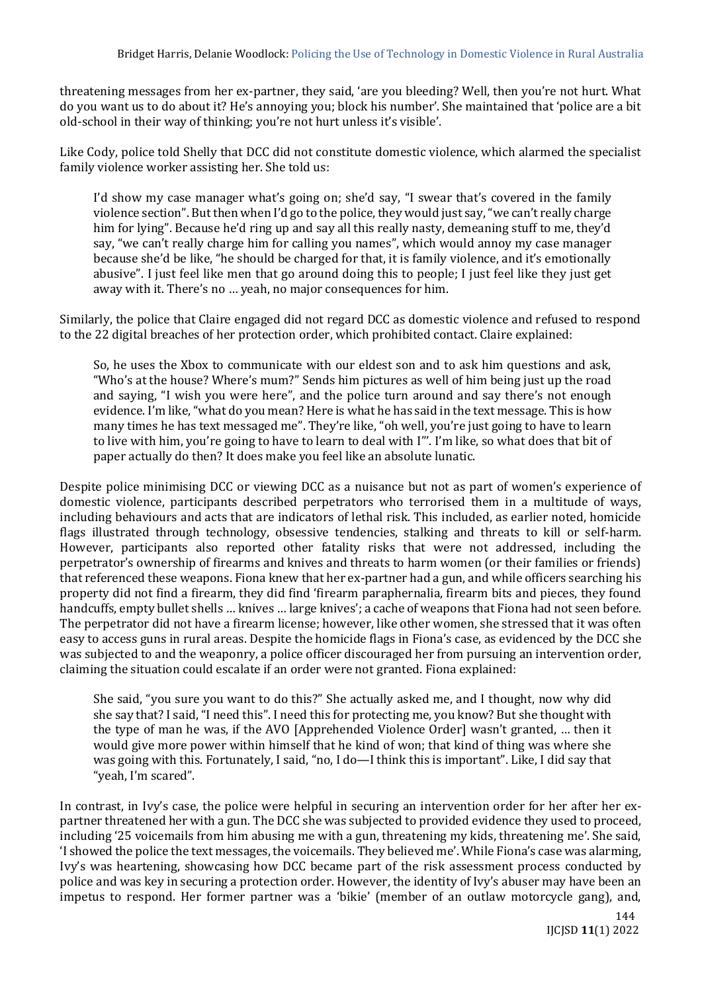threatening messages from her ex-partner, they said, 'are you bleeding? Well, then you're not hurt. What do you want us to do about it? He's annoying you; block his number'. She maintained that 'police are a bit old-school in their way of thinking; you're not hurt unless it's visible'.

Like Cody, police told Shelly that DCC did not constitute domestic violence, which alarmed the specialist family violence worker assisting her. She told us:

I'd show my case manager what's going on; she'd say, "I swear that's covered in the family violence section". But then when I'd go to the police, they would just say, "we can't really charge him for lying". Because he'd ring up and say all this really nasty, demeaning stuff to me, they'd say, "we can't really charge him for calling you names", which would annoy my case manager because she'd be like, "he should be charged for that, it is family violence, and it's emotionally abusive". I just feel like men that go around doing this to people; I just feel like they just get away with it. There's no … yeah, no major consequences for him.

Similarly, the police that Claire engaged did not regard DCC as domestic violence and refused to respond to the 22 digital breaches of her protection order, which prohibited contact. Claire explained:

So, he uses the Xbox to communicate with our eldest son and to ask him questions and ask, "Who's at the house? Where's mum?" Sends him pictures as well of him being just up the road and saying, "I wish you were here", and the police turn around and say there's not enough evidence. I'm like, "what do you mean? Here is what he has said in the text message. This is how many times he has text messaged me". They're like, "oh well, you're just going to have to learn to live with him, you're going to have to learn to deal with I"'. I'm like, so what does that bit of paper actually do then? It does make you feel like an absolute lunatic.

Despite police minimising DCC or viewing DCC as a nuisance but not as part of women's experience of domestic violence, participants described perpetrators who terrorised them in a multitude of ways, including behaviours and acts that are indicators of lethal risk. This included, as earlier noted, homicide flags illustrated through technology, obsessive tendencies, stalking and threats to kill or self-harm. However, participants also reported other fatality risks that were not addressed, including the perpetrator's ownership of firearms and knives and threats to harm women (or their families or friends) that referenced these weapons. Fiona knew that her ex-partner had a gun, and while officers searching his property did not find a firearm, they did find 'firearm paraphernalia, firearm bits and pieces, they found handcuffs, empty bullet shells … knives … large knives'; a cache of weapons that Fiona had not seen before. The perpetrator did not have a firearm license; however, like other women, she stressed that it was often easy to access guns in rural areas. Despite the homicide flags in Fiona's case, as evidenced by the DCC she was subjected to and the weaponry, a police officer discouraged her from pursuing an intervention order, claiming the situation could escalate if an order were not granted. Fiona explained:

She said, "you sure you want to do this?" She actually asked me, and I thought, now why did she say that? I said, "I need this". I need this for protecting me, you know? But she thought with the type of man he was, if the AVO [Apprehended Violence Order] wasn't granted, … then it would give more power within himself that he kind of won; that kind of thing was where she was going with this. Fortunately, I said, "no, I do—I think this is important". Like, I did say that "yeah, I'm scared".

In contrast, in Ivy's case, the police were helpful in securing an intervention order for her after her expartner threatened her with a gun. The DCC she was subjected to provided evidence they used to proceed, including '25 voicemails from him abusing me with a gun, threatening my kids, threatening me'. She said, 'I showed the police the text messages, the voicemails. They believed me'. While Fiona's case was alarming, Ivy's was heartening, showcasing how DCC became part of the risk assessment process conducted by police and was key in securing a protection order. However, the identity of Ivy's abuser may have been an impetus to respond. Her former partner was a 'bikie' (member of an outlaw motorcycle gang), and,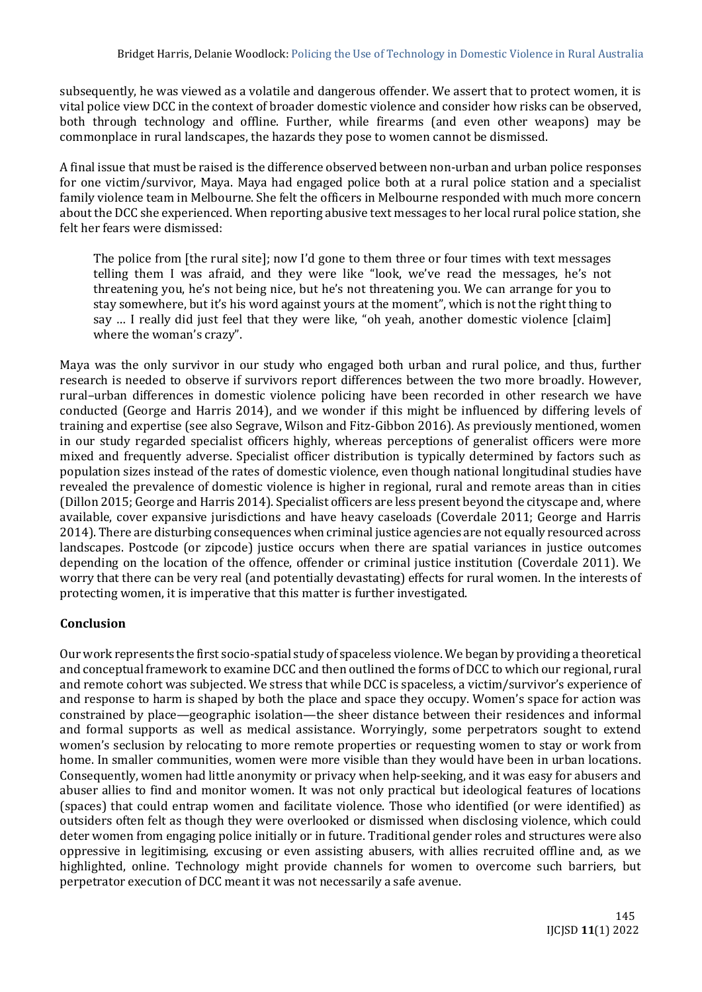subsequently, he was viewed as a volatile and dangerous offender. We assert that to protect women, it is vital police view DCC in the context of broader domestic violence and consider how risks can be observed, both through technology and offline. Further, while firearms (and even other weapons) may be commonplace in rural landscapes, the hazards they pose to women cannot be dismissed.

A final issue that must be raised is the difference observed between non-urban and urban police responses for one victim/survivor, Maya. Maya had engaged police both at a rural police station and a specialist family violence team in Melbourne. She felt the officers in Melbourne responded with much more concern about the DCC she experienced. When reporting abusive text messages to her local rural police station, she felt her fears were dismissed:

The police from [the rural site]; now I'd gone to them three or four times with text messages telling them I was afraid, and they were like "look, we've read the messages, he's not threatening you, he's not being nice, but he's not threatening you. We can arrange for you to stay somewhere, but it's his word against yours at the moment", which is not the right thing to say … I really did just feel that they were like, "oh yeah, another domestic violence [claim] where the woman's crazy".

Maya was the only survivor in our study who engaged both urban and rural police, and thus, further research is needed to observe if survivors report differences between the two more broadly. However, rural–urban differences in domestic violence policing have been recorded in other research we have conducted (George and Harris 2014), and we wonder if this might be influenced by differing levels of training and expertise (see also Segrave, Wilson and Fitz-Gibbon 2016). As previously mentioned, women in our study regarded specialist officers highly, whereas perceptions of generalist officers were more mixed and frequently adverse. Specialist officer distribution is typically determined by factors such as population sizes instead of the rates of domestic violence, even though national longitudinal studies have revealed the prevalence of domestic violence is higher in regional, rural and remote areas than in cities (Dillon 2015; George and Harris 2014). Specialist officers are less present beyond the cityscape and, where available, cover expansive jurisdictions and have heavy caseloads (Coverdale 2011; George and Harris 2014). There are disturbing consequences when criminal justice agencies are not equally resourced across landscapes. Postcode (or zipcode) justice occurs when there are spatial variances in justice outcomes depending on the location of the offence, offender or criminal justice institution (Coverdale 2011). We worry that there can be very real (and potentially devastating) effects for rural women. In the interests of protecting women, it is imperative that this matter is further investigated.

# **Conclusion**

Our work represents the first socio-spatial study of spaceless violence. We began by providing a theoretical and conceptual framework to examine DCC and then outlined the forms of DCC to which our regional, rural and remote cohort was subjected. We stress that while DCC is spaceless, a victim/survivor's experience of and response to harm is shaped by both the place and space they occupy. Women's space for action was constrained by place—geographic isolation—the sheer distance between their residences and informal and formal supports as well as medical assistance. Worryingly, some perpetrators sought to extend women's seclusion by relocating to more remote properties or requesting women to stay or work from home. In smaller communities, women were more visible than they would have been in urban locations. Consequently, women had little anonymity or privacy when help-seeking, and it was easy for abusers and abuser allies to find and monitor women. It was not only practical but ideological features of locations (spaces) that could entrap women and facilitate violence. Those who identified (or were identified) as outsiders often felt as though they were overlooked or dismissed when disclosing violence, which could deter women from engaging police initially or in future. Traditional gender roles and structures were also oppressive in legitimising, excusing or even assisting abusers, with allies recruited offline and, as we highlighted, online. Technology might provide channels for women to overcome such barriers, but perpetrator execution of DCC meant it was not necessarily a safe avenue.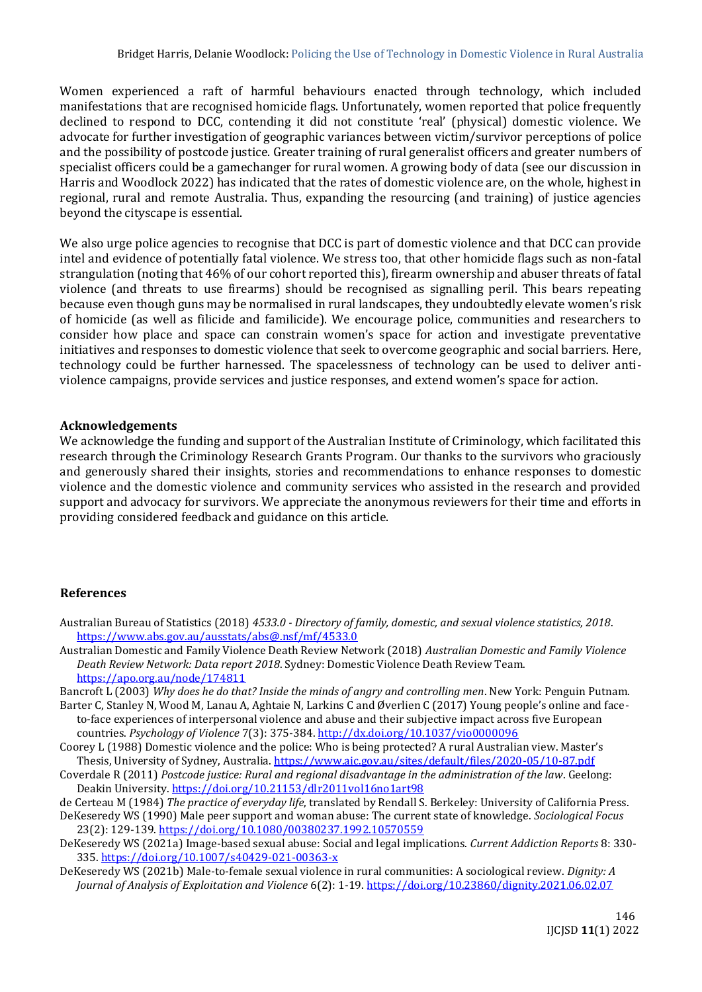Women experienced a raft of harmful behaviours enacted through technology, which included manifestations that are recognised homicide flags. Unfortunately, women reported that police frequently declined to respond to DCC, contending it did not constitute 'real' (physical) domestic violence. We advocate for further investigation of geographic variances between victim/survivor perceptions of police and the possibility of postcode justice. Greater training of rural generalist officers and greater numbers of specialist officers could be a gamechanger for rural women. A growing body of data (see our discussion in Harris and Woodlock 2022) has indicated that the rates of domestic violence are, on the whole, highest in regional, rural and remote Australia. Thus, expanding the resourcing (and training) of justice agencies beyond the cityscape is essential.

We also urge police agencies to recognise that DCC is part of domestic violence and that DCC can provide intel and evidence of potentially fatal violence. We stress too, that other homicide flags such as non-fatal strangulation (noting that 46% of our cohort reported this), firearm ownership and abuser threats of fatal violence (and threats to use firearms) should be recognised as signalling peril. This bears repeating because even though guns may be normalised in rural landscapes, they undoubtedly elevate women's risk of homicide (as well as filicide and familicide). We encourage police, communities and researchers to consider how place and space can constrain women's space for action and investigate preventative initiatives and responses to domestic violence that seek to overcome geographic and social barriers. Here, technology could be further harnessed. The spacelessness of technology can be used to deliver antiviolence campaigns, provide services and justice responses, and extend women's space for action.

#### **Acknowledgements**

We acknowledge the funding and support of the Australian Institute of Criminology, which facilitated this research through the Criminology Research Grants Program. Our thanks to the survivors who graciously and generously shared their insights, stories and recommendations to enhance responses to domestic violence and the domestic violence and community services who assisted in the research and provided support and advocacy for survivors. We appreciate the anonymous reviewers for their time and efforts in providing considered feedback and guidance on this article.

#### **References**

- Australian Bureau of Statistics (2018) *4533.0 - Directory of family, domestic, and sexual violence statistics, 2018*. <https://www.abs.gov.au/ausstats/abs@.nsf/mf/4533.0>
- Australian Domestic and Family Violence Death Review Network (2018) *Australian Domestic and Family Violence Death Review Network: Data report 2018*. Sydney: Domestic Violence Death Review Team. <https://apo.org.au/node/174811>

Bancroft L (2003) *Why does he do that? Inside the minds of angry and controlling men*. New York: Penguin Putnam.

- Barter C, Stanley N, Wood M, Lanau A, Aghtaie N, Larkins C and Øverlien C (2017) Young people's online and faceto-face experiences of interpersonal violence and abuse and their subjective impact across five European countries. *Psychology of Violence* 7(3): 375-384.<http://dx.doi.org/10.1037/vio0000096>
- Coorey L (1988) Domestic violence and the police: Who is being protected? A rural Australian view. Master's Thesis, University of Sydney, Australia[. https://www.aic.gov.au/sites/default/files/2020-05/10-87.pdf](https://www.aic.gov.au/sites/default/files/2020-05/10-87.pdf)
- Coverdale R (2011) *Postcode justice: Rural and regional disadvantage in the administration of the law*. Geelong: Deakin University.<https://doi.org/10.21153/dlr2011vol16no1art98>
- de Certeau M (1984) *The practice of everyday life*, translated by Rendall S. Berkeley: University of California Press.

DeKeseredy WS (1990) Male peer support and woman abuse: The current state of knowledge. *Sociological Focus*  23(2): 129-139.<https://doi.org/10.1080/00380237.1992.10570559>

- DeKeseredy WS (2021a) Image-based sexual abuse: Social and legal implications. *Current Addiction Reports* 8: 330- 335.<https://doi.org/10.1007/s40429-021-00363-x>
- DeKeseredy WS (2021b) Male-to-female sexual violence in rural communities: A sociological review. *Dignity: A Journal of Analysis of Exploitation and Violence* 6(2): 1-19[. https://doi.org/10.23860/dignity.2021.06.02.07](https://doi.org/10.23860/dignity.2021.06.02.07)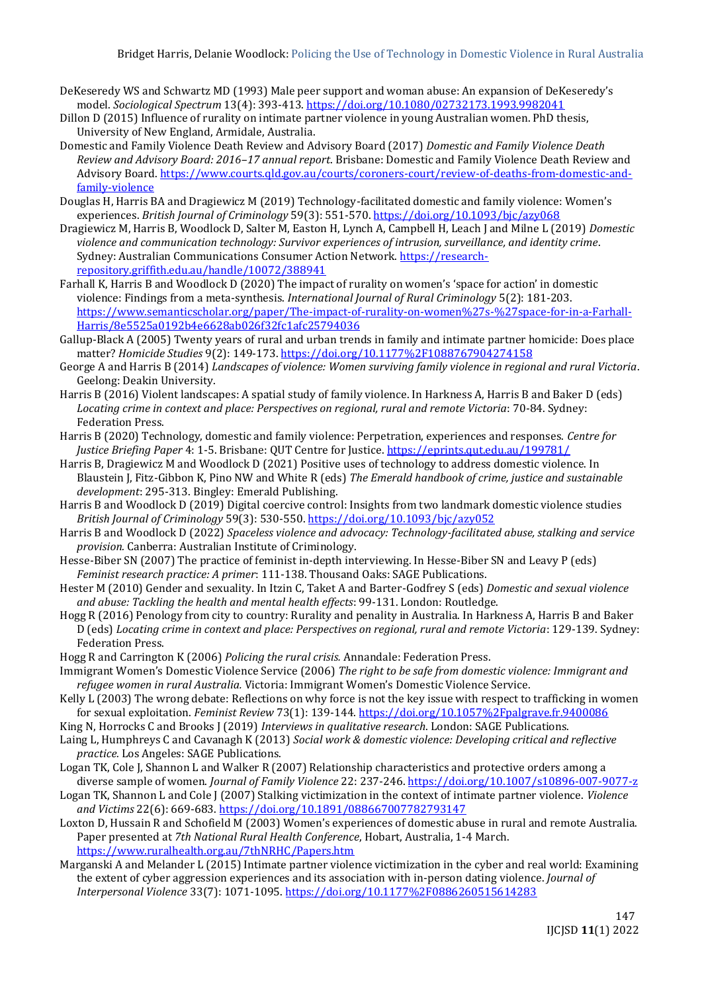- DeKeseredy WS and Schwartz MD (1993) Male peer support and woman abuse: An expansion of DeKeseredy's model. *Sociological Spectrum* 13(4): 393-413.<https://doi.org/10.1080/02732173.1993.9982041>
- Dillon D (2015) Influence of rurality on intimate partner violence in young Australian women. PhD thesis, University of New England, Armidale, Australia.
- Domestic and Family Violence Death Review and Advisory Board (2017) *Domestic and Family Violence Death Review and Advisory Board: 2016–17 annual report*. Brisbane: Domestic and Family Violence Death Review and Advisory Board. [https://www.courts.qld.gov.au/courts/coroners-court/review-of-deaths-from-domestic-and](https://www.courts.qld.gov.au/courts/coroners-court/review-of-deaths-from-domestic-and-family-violence)[family-violence](https://www.courts.qld.gov.au/courts/coroners-court/review-of-deaths-from-domestic-and-family-violence)
- Douglas H, Harris BA and Dragiewicz M (2019) Technology-facilitated domestic and family violence: Women's experiences. *British Journal of Criminology* 59(3): 551-570. <https://doi.org/10.1093/bjc/azy068>
- Dragiewicz M, Harris B, Woodlock D, Salter M, Easton H, Lynch A, Campbell H, Leach J and Milne L (2019) *Domestic violence and communication technology: Survivor experiences of intrusion, surveillance, and identity crime*. Sydney: Australian Communications Consumer Action Network. [https://research](https://research-repository.griffith.edu.au/handle/10072/388941)[repository.griffith.edu.au/handle/10072/388941](https://research-repository.griffith.edu.au/handle/10072/388941)
- Farhall K, Harris B and Woodlock D (2020) The impact of rurality on women's 'space for action' in domestic violence: Findings from a meta-synthesis. *International Journal of Rural Criminology* 5(2): 181-203. [https://www.semanticscholar.org/paper/The-impact-of-rurality-on-women%27s-%27space-for-in-a-Farhall-](https://www.semanticscholar.org/paper/The-impact-of-rurality-on-women%27s-%27space-for-in-a-Farhall-Harris/8e5525a0192b4e6628ab026f32fc1afc25794036)[Harris/8e5525a0192b4e6628ab026f32fc1afc25794036](https://www.semanticscholar.org/paper/The-impact-of-rurality-on-women%27s-%27space-for-in-a-Farhall-Harris/8e5525a0192b4e6628ab026f32fc1afc25794036)
- Gallup-Black A (2005) Twenty years of rural and urban trends in family and intimate partner homicide: Does place matter? *Homicide Studies* 9(2): 149-173[. https://doi.org/10.1177%2F1088767904274158](https://doi.org/10.1177%2F1088767904274158)
- George A and Harris B (2014) *Landscapes of violence: Women surviving family violence in regional and rural Victoria*. Geelong: Deakin University.
- Harris B (2016) Violent landscapes: A spatial study of family violence. In Harkness A, Harris B and Baker D (eds) *Locating crime in context and place: Perspectives on regional, rural and remote Victoria*: 70-84. Sydney: Federation Press.
- Harris B (2020) Technology, domestic and family violence: Perpetration, experiences and responses. *Centre for Justice Briefing Paper* 4: 1-5. Brisbane: QUT Centre for Justice[. https://eprints.qut.edu.au/199781/](https://eprints.qut.edu.au/199781/)
- Harris B, Dragiewicz M and Woodlock D (2021) Positive uses of technology to address domestic violence. In Blaustein J, Fitz-Gibbon K, Pino NW and White R (eds) *The Emerald handbook of crime, justice and sustainable development*: 295-313. Bingley: Emerald Publishing.
- Harris B and Woodlock D (2019) Digital coercive control: Insights from two landmark domestic violence studies *British Journal of Criminology* 59(3): 530-550[. https://doi.org/10.1093/bjc/azy052](https://doi.org/10.1093/bjc/azy052)
- Harris B and Woodlock D (2022) *Spaceless violence and advocacy: Technology-facilitated abuse, stalking and service provision.* Canberra: Australian Institute of Criminology.
- Hesse-Biber SN (2007) The practice of feminist in-depth interviewing. In Hesse-Biber SN and Leavy P (eds) *Feminist research practice: A primer*: 111-138. Thousand Oaks: SAGE Publications.
- Hester M (2010) Gender and sexuality. In Itzin C, Taket A and Barter-Godfrey S (eds) *Domestic and sexual violence and abuse: Tackling the health and mental health effects*: 99-131. London: Routledge.
- Hogg R (2016) Penology from city to country: Rurality and penality in Australia. In Harkness A, Harris B and Baker D (eds) *Locating crime in context and place: Perspectives on regional, rural and remote Victoria*: 129-139. Sydney: Federation Press.
- Hogg R and Carrington K (2006) *Policing the rural crisis.* Annandale: Federation Press.
- Immigrant Women's Domestic Violence Service (2006) *The right to be safe from domestic violence: Immigrant and refugee women in rural Australia.* Victoria: Immigrant Women's Domestic Violence Service.
- Kelly L (2003) The wrong debate: Reflections on why force is not the key issue with respect to trafficking in women for sexual exploitation. *Feminist Review* 73(1): 139-144[. https://doi.org/10.1057%2Fpalgrave.fr.9400086](https://doi.org/10.1057%2Fpalgrave.fr.9400086)
- King N, Horrocks C and Brooks J (2019) *Interviews in qualitative research*. London: SAGE Publications.
- Laing L, Humphreys C and Cavanagh K (2013) *Social work & domestic violence: Developing critical and reflective practice.* Los Angeles: SAGE Publications.
- Logan TK, Cole J, Shannon L and Walker R (2007) Relationship characteristics and protective orders among a diverse sample of women. *Journal of Family Violence* 22: 237-246.<https://doi.org/10.1007/s10896-007-9077-z>
- Logan TK, Shannon L and Cole J (2007) Stalking victimization in the context of intimate partner violence. *Violence and Victims* 22(6): 669-683.<https://doi.org/10.1891/088667007782793147>
- Loxton D, Hussain R and Schofield M (2003) Women's experiences of domestic abuse in rural and remote Australia. Paper presented at *7th National Rural Health Conference*, Hobart, Australia, 1-4 March. <https://www.ruralhealth.org.au/7thNRHC/Papers.htm>
- Marganski A and Melander L (2015) Intimate partner violence victimization in the cyber and real world: Examining the extent of cyber aggression experiences and its association with in-person dating violence. *Journal of Interpersonal Violence* 33(7): 1071-1095.<https://doi.org/10.1177%2F0886260515614283>